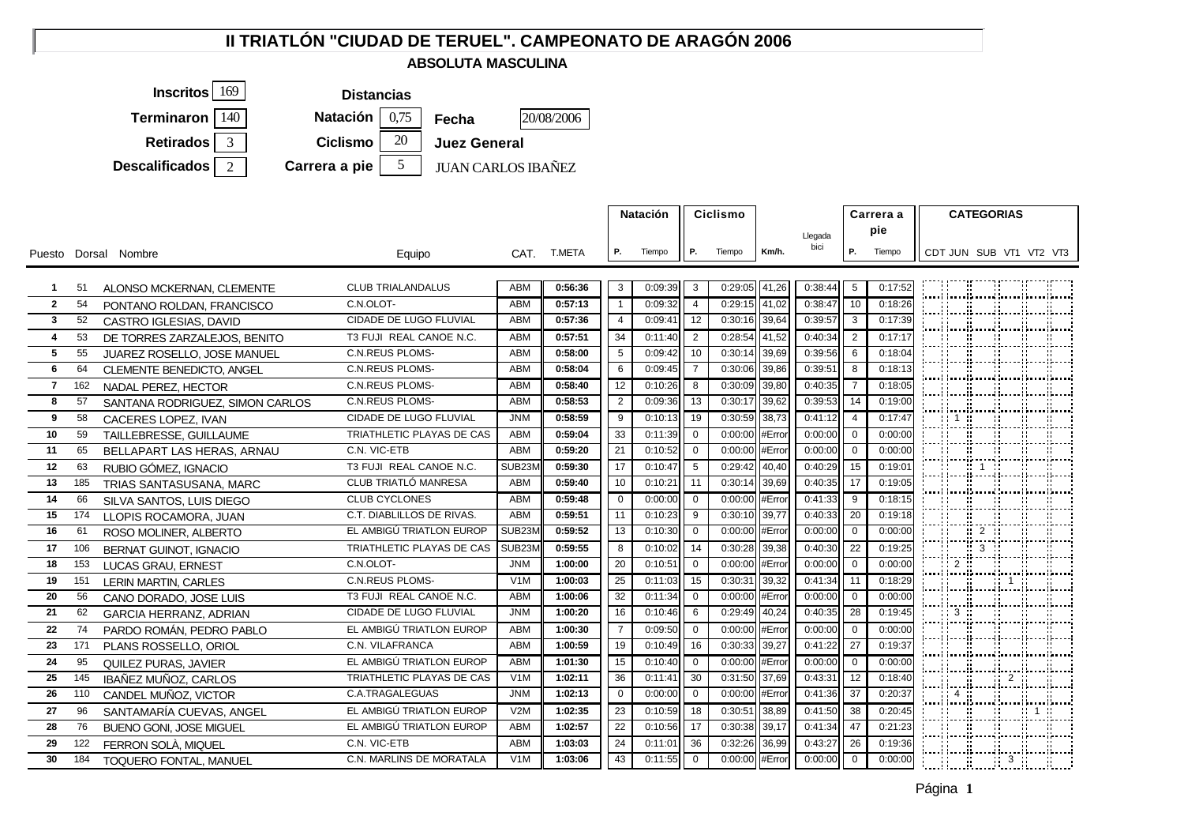## **II TRIATLÓN "CIUDAD DE TERUEL". CAMPEONATO DE ARAGÓN 2006**

## **ABSOLUTA MASCULINA**



|                 |     |                                 |                           |                  |             |                | <b>Natación</b> |                          |                |        | <b>Ciclismo</b> |                |         |     | Carrera a                  | <b>CATEGORIAS</b>                                                                                                    |                                                                         |  |  |  |  |
|-----------------|-----|---------------------------------|---------------------------|------------------|-------------|----------------|-----------------|--------------------------|----------------|--------|-----------------|----------------|---------|-----|----------------------------|----------------------------------------------------------------------------------------------------------------------|-------------------------------------------------------------------------|--|--|--|--|
|                 |     |                                 |                           |                  |             |                |                 |                          |                |        |                 |                | Llegada | pie |                            |                                                                                                                      |                                                                         |  |  |  |  |
|                 |     | Puesto Dorsal Nombre            | Equipo                    |                  | CAT. T.META | Р.             | Tiempo          | <b>P.</b>                | Tiempo         | Km/h.  | bici            | Р.             | Tiempo  |     |                            |                                                                                                                      | CDT JUN SUB VT1 VT2 VT3                                                 |  |  |  |  |
|                 |     |                                 |                           |                  |             |                |                 |                          |                |        |                 |                |         |     |                            |                                                                                                                      |                                                                         |  |  |  |  |
| $\mathbf{1}$    | 51  | ALONSO MCKERNAN, CLEMENTE       | <b>CLUB TRIALANDALUS</b>  | <b>ABM</b>       | 0:56:36     | 3              | 0:09:39         | $\overline{\mathbf{3}}$  | 0:29:05        | 41,26  | 0:38:44         | 5              | 0:17:52 |     |                            |                                                                                                                      | <b>Millian Starter (b. 1970)</b><br>1904 - Johann Starter, fransk mars  |  |  |  |  |
| $\overline{2}$  | 54  | PONTANO ROLDAN, FRANCISCO       | C.N.OLOT-                 | ABM              | 0:57:13     | $\overline{1}$ | 0:09:32         | $\overline{4}$           | 0:29:15 41,02  |        | 0:38:47         | 10             | 0:18:26 |     |                            | <u> 1999 - 1999 - 1999 - 1999 - 1999 - 1999 - 1999 - 1999 - 1999 - 1999 - 1999 - 1999 - 1999 - 1999 - 1999 - 199</u> |                                                                         |  |  |  |  |
| $\mathbf{3}$    | 52  | CASTRO IGLESIAS, DAVID          | CIDADE DE LUGO FLUVIAL    | ABM              | 0:57:36     | $\overline{4}$ | 0:09:41         | 12                       | 0:30:16        | 39,64  | 0:39:57         | 3              | 0:17:39 |     |                            |                                                                                                                      | ;; ;;;;;;;;;                                                            |  |  |  |  |
| $\overline{4}$  | 53  | DE TORRES ZARZALEJOS. BENITO    | T3 FUJI REAL CANOE N.C.   | <b>ABM</b>       | 0:57:51     | 34             | 0:11:40         | $\overline{\mathbf{2}}$  | 0:28:54        | 41,52  | 0:40:34         | $\overline{2}$ | 0:17:17 |     |                            |                                                                                                                      | <u>                      </u>                                           |  |  |  |  |
| 5               | 55  | JUAREZ ROSELLO, JOSE MANUEL     | <b>C.N.REUS PLOMS-</b>    | <b>ABM</b>       | 0:58:00     | 5              | 0:09:42         | 10                       | 0:30:14        | 39,69  | 0:39:56         | 6              | 0:18:04 |     |                            |                                                                                                                      |                                                                         |  |  |  |  |
| 6               | 64  | CLEMENTE BENEDICTO, ANGEL       | <b>C.N.REUS PLOMS-</b>    | <b>ABM</b>       | 0:58:04     | 6              | 0:09:45         | $\overline{7}$           | 0:30:06        | 39,86  | 0:39:51         | 8              | 0:18:13 |     |                            |                                                                                                                      | <b>ENERGIST STAR</b>                                                    |  |  |  |  |
| $\overline{7}$  | 162 | NADAL PEREZ, HECTOR             | <b>C.N.REUS PLOMS-</b>    | ABM              | 0:58:40     | 12             | 0:10:26         | 8                        | 0:30:09        | 39,80  | 0:40:35         | $\overline{7}$ | 0:18:05 |     |                            |                                                                                                                      |                                                                         |  |  |  |  |
| 8               | 57  | SANTANA RODRIGUEZ, SIMON CARLOS | <b>C.N.REUS PLOMS-</b>    | <b>ABM</b>       | 0:58:53     | $\overline{2}$ | 0:09:36         | 13                       | 0:30:17        | 39,62  | 0:39:53         | 14             | 0:19:00 |     |                            |                                                                                                                      |                                                                         |  |  |  |  |
| 9               | 58  | CACERES LOPEZ, IVAN             | CIDADE DE LUGO FLUVIAL    | <b>JNM</b>       | 0:58:59     | 9              | 0:10:13         | 19                       | 0:30:59        | 38,73  | 0:41:12         | $\overline{4}$ | 0:17:47 |     |                            |                                                                                                                      | }           <br>                                                        |  |  |  |  |
| 10              | 59  | TAILLEBRESSE, GUILLAUME         | TRIATHLETIC PLAYAS DE CAS | ABM              | 0:59:04     | 33             | 0:11:39         | $\overline{0}$           | 0:00:00        | #Error | 0:00:00         | $\overline{0}$ | 0:00:00 |     |                            |                                                                                                                      |                                                                         |  |  |  |  |
| 11              | 65  | BELLAPART LAS HERAS, ARNAU      | C.N. VIC-ETB              | ABM              | 0:59:20     | 21             | 0:10:52         | $\overline{\phantom{0}}$ | 0:00:00        | #Error | 0:00:00         | $\mathbf 0$    | 0:00:00 |     |                            |                                                                                                                      | kaani inanikaanee kanaalinnaalinnaa                                     |  |  |  |  |
| 12 <sup>2</sup> | 63  | RUBIO GÓMEZ, IGNACIO            | T3 FUJI REAL CANOE N.C.   | SUB23N           | 0:59:30     | 17             | 0:10:47         | $\overline{5}$           | 0:29:42        | 40,40  | 0:40:29         | 15             | 0:19:01 |     |                            |                                                                                                                      | Filminininin                                                            |  |  |  |  |
| 13              | 185 | TRIAS SANTASUSANA, MARC         | CLUB TRIATLÓ MANRESA      | ABM              | 0:59:40     | 10             | 0:10:21         | 11                       | 0:30:14        | 39,69  | 0:40:35         | 17             | 0:19:05 |     |                            |                                                                                                                      | (محمد) (محمد) (محمد) (محمد) (محمد) (محمد)                               |  |  |  |  |
| 14              | 66  | SILVA SANTOS, LUIS DIEGO        | <b>CLUB CYCLONES</b>      | ABM              | 0:59:48     | $\overline{0}$ | 0:00:00         | $\overline{0}$           | 0:00:00        | #Error | 0:41:33         | 9              | 0:18:15 |     |                            |                                                                                                                      |                                                                         |  |  |  |  |
| 15              | 174 | LLOPIS ROCAMORA, JUAN           | C.T. DIABLILLOS DE RIVAS. | ABM              | 0:59:51     | 11             | 0:10:23         | - 9                      | 0:30:10        | 39,77  | 0:40:33         | 20             | 0:19:18 |     |                            |                                                                                                                      |                                                                         |  |  |  |  |
| 16              | 61  | ROSO MOLINER, ALBERTO           | EL AMBIGÚ TRIATLON EUROP  | SUB23M           | 0:59:52     | 13             | 0:10:30         | $\overline{0}$           | 0:00:00        | #Error | 0:00:00         | $\overline{0}$ | 0:00:00 |     |                            |                                                                                                                      | ┆╴┊┆╴ <u>┋╭</u> ╴┊╶╴┊╶┊╎╌┋╌┊                                            |  |  |  |  |
| 17              | 106 | <b>BERNAT GUINOT, IGNACIO</b>   | TRIATHLETIC PLAYAS DE CAS | SUB23M           | 0:59:55     | 8              | 0:10:02         | 14                       | 0:30:28        | 39,38  | 0:40:30         | 22             | 0:19:25 |     |                            |                                                                                                                      | i ii ii 3-ii ii ii<br> ----  ----  -----  -----  ----  ----             |  |  |  |  |
| 18              | 153 | LUCAS GRAU, ERNEST              | C.N.OLOT-                 | <b>JNM</b>       | 1:00:00     | 20             | 0:10:51         | $\overline{\phantom{0}}$ | 0:00:00        | #Error | 0:00:00         | $\overline{0}$ | 0:00:00 |     | $\overline{\phantom{a}}$ 2 |                                                                                                                      | jennej jennej jennesi, jennesi jennej jenne                             |  |  |  |  |
| 19              | 151 | <b>LERIN MARTIN, CARLES</b>     | <b>C.N.REUS PLOMS-</b>    | V1M              | 1:00:03     | 25             | 0:11:03         | 15                       | 0:30:31        | 39,32  | 0:41:34         | 11             | 0:18:29 |     |                            |                                                                                                                      | <b>COMPANY</b>                                                          |  |  |  |  |
| 20              | 56  | CANO DORADO, JOSE LUIS          | T3 FUJI REAL CANOE N.C.   | ABM              | 1:00:06     | 32             | 0:11:34         | $\overline{0}$           | 0:00:00        | #Error | 0:00:00         | $\overline{0}$ | 0:00:00 |     |                            |                                                                                                                      |                                                                         |  |  |  |  |
| 21              | 62  | <b>GARCIA HERRANZ, ADRIAN</b>   | CIDADE DE LUGO FLUVIAL    | <b>JNM</b>       | 1:00:20     | 16             | 0:10:46         | 6                        | 0:29:49        | 40,24  | 0:40:35         | 28             | 0:19:45 |     |                            |                                                                                                                      |                                                                         |  |  |  |  |
| $22 \,$         | 74  | PARDO ROMÁN, PEDRO PABLO        | EL AMBIGÚ TRIATLON EUROP  | ABM              | 1:00:30     | $\overline{7}$ | 0:09:50         | $\overline{0}$           | 0:00:00 #Error |        | 0:00:00         | $\overline{0}$ | 0:00:00 |     |                            | i ii ii ii ii                                                                                                        |                                                                         |  |  |  |  |
| 23              | 171 | PLANS ROSSELLO, ORIOL           | C.N. VILAFRANCA           | <b>ABM</b>       | 1:00:59     | 19             | 0:10:49         | 16                       | 0:30:33        | 39,27  | 0:41:22         | 27             | 0:19:37 |     |                            |                                                                                                                      |                                                                         |  |  |  |  |
| 24              | 95  | QUILEZ PURAS, JAVIER            | EL AMBIGÚ TRIATLON EUROP  | <b>ABM</b>       | 1:01:30     | 15             | 0:10:40         | $\overline{\mathbf{0}}$  | 0:00:00        | #Error | 0:00:00         | $\mathbf 0$    | 0:00:00 |     |                            |                                                                                                                      |                                                                         |  |  |  |  |
| 25              | 145 | IBAÑEZ MUÑOZ, CARLOS            | TRIATHLETIC PLAYAS DE CAS | V1M              | 1:02:11     | 36             | 0:11:41         | 30                       | 0:31:50        | 37,69  | 0:43:31         | 12             | 0:18:40 |     |                            |                                                                                                                      | ---  ---  ----  ----  ----  ---<br> ----  ----  -----  ----  ----  ---- |  |  |  |  |
| 26              | 110 | CANDEL MUÑOZ, VICTOR            | C.A.TRAGALEGUAS           | <b>JNM</b>       | 1:02:13     | $\overline{0}$ | 0:00:00         | $\overline{\mathbf{0}}$  | 0:00:00 #Error |        | 0:41:36         | 37             | 0:20:37 |     |                            |                                                                                                                      | ; ;; 4 ;; ;; ;; ;; ;; ;; ;;<br>;; ;;};;;;;;;                            |  |  |  |  |
| 27              | 96  | SANTAMARÍA CUEVAS, ANGEL        | EL AMBIGÚ TRIATLON EUROP  | V2M              | 1:02:35     | 23             | 0:10:59         | 18                       | 0:30:51        | 38,89  | 0:41:50         | 38             | 0:20:45 |     |                            |                                                                                                                      | <u>i i i i i i i i </u>                                                 |  |  |  |  |
| 28              | 76  | <b>BUENO GONI, JOSE MIGUEL</b>  | EL AMBIGÚ TRIATLON EUROP  | <b>ABM</b>       | 1:02:57     | 22             | 0:10:56         | 17                       | 0:30:38        | 39,17  | 0:41:34         | 47             | 0:21:23 |     |                            |                                                                                                                      | jennej jennej jennesi, jennesi jennej jenne                             |  |  |  |  |
| 29              | 122 | FERRON SOLÀ, MIQUEL             | C.N. VIC-ETB              | ABM              | 1:03:03     | 24             | 0:11:01         | 36                       | 0:32:26        | 36,99  | 0:43:27         | 26             | 0:19:36 |     |                            |                                                                                                                      |                                                                         |  |  |  |  |
| 30              | 184 | <b>TOQUERO FONTAL, MANUEL</b>   | C.N. MARLINS DE MORATALA  | V <sub>1</sub> M | 1:03:06     | 43             | 0:11:55         | $\overline{0}$           | 0:00:00 #Error |        | 0:00:00         | $\overline{0}$ | 0:00:00 |     |                            |                                                                                                                      | <b>Experience</b>                                                       |  |  |  |  |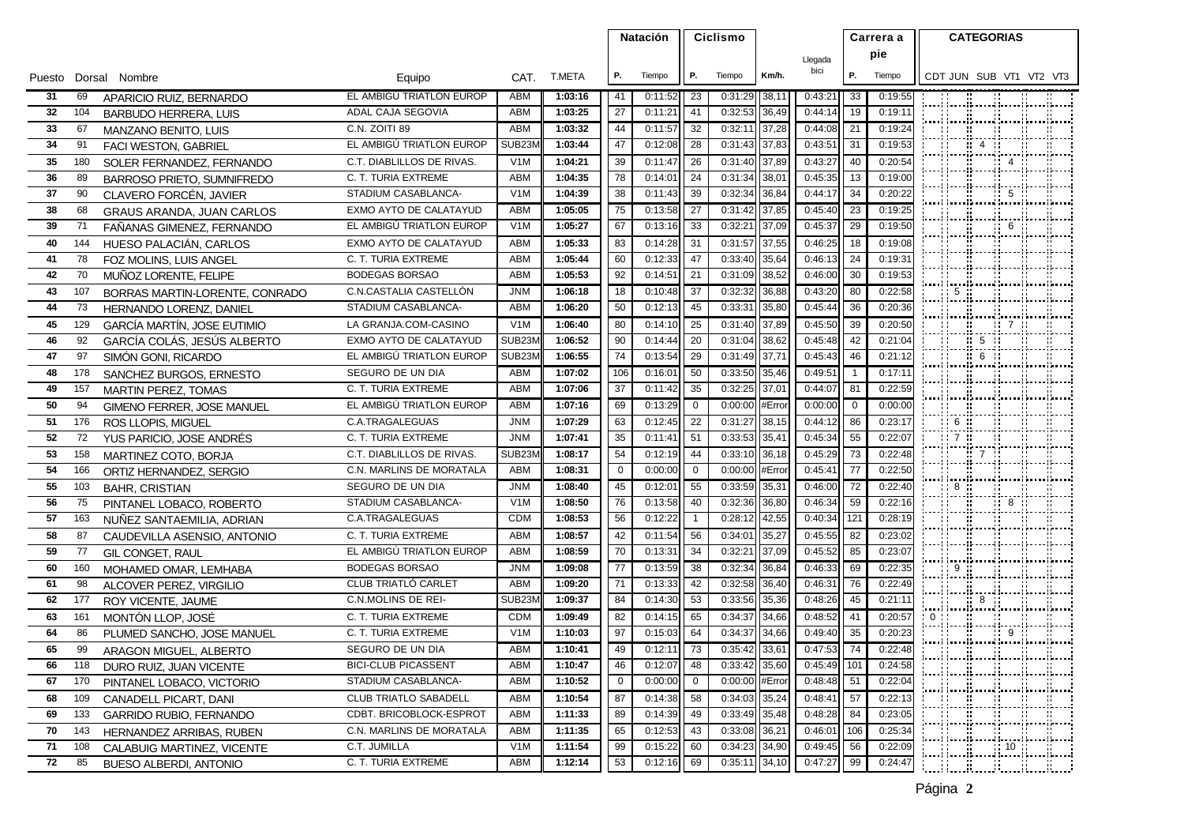|    |     |                                    |                              |                  |             |             | <b>Natación</b> |                |               |        |               |                |         |  | Ciclismo |                                                                                      |  | Carrera a |  | <b>CATEGORIAS</b> |  |  |  |  |  |
|----|-----|------------------------------------|------------------------------|------------------|-------------|-------------|-----------------|----------------|---------------|--------|---------------|----------------|---------|--|----------|--------------------------------------------------------------------------------------|--|-----------|--|-------------------|--|--|--|--|--|
|    |     |                                    |                              |                  |             |             |                 |                |               |        | Llegada       |                | pie     |  |          |                                                                                      |  |           |  |                   |  |  |  |  |  |
|    |     | Puesto Dorsal Nombre               | Equipo                       |                  | CAT. T.META | Р.          | Tiempo          | P.             | Tiempo        | Km/h.  | bici          | Р.             | Tiempo  |  |          | CDT JUN SUB VT1 VT2 VT3                                                              |  |           |  |                   |  |  |  |  |  |
| 31 | 69  | APARICIO RUIZ, BERNARDO            | EL AMBIGU TRIATLON EUROP     | ABM              | 1:03:16     | 41          | 0:11:52         | 23             | 0:31:29       | 38,11  | 0:43:21       | 33             | 0:19:55 |  |          |                                                                                      |  |           |  |                   |  |  |  |  |  |
| 32 | 104 | <b>BARBUDO HERRERA, LUIS</b>       | ADAL CAJA SEGOVIA            | ABM              | 1:03:25     | 27          | 0:11:21         | 41             | 0:32:53       | 36,49  | 0:44:14       | 19             | 0:19:11 |  |          |                                                                                      |  |           |  |                   |  |  |  |  |  |
| 33 | 67  | MANZANO BENITO, LUIS               | C.N. ZOITI 89                | ABM              | 1:03:32     | 44          | 0:11:57         | 32             | 0:32:11       | 37,28  | 0:44:08       | 21             | 0:19:24 |  |          | ;; ;;;; ;; ;;;;                                                                      |  |           |  |                   |  |  |  |  |  |
| 34 | 91  | FACI WESTON, GABRIEL               | EL AMBIGÚ TRIATLON EUROP     | SUB23N           | 1:03:44     | 47          | 0:12:08         | 28             | 0:31:43       | 37,83  | 0:43:51       | 31             | 0:19:53 |  |          |                                                                                      |  |           |  |                   |  |  |  |  |  |
| 35 | 180 | SOLER FERNANDEZ, FERNANDO          | C.T. DIABLILLOS DE RIVAS.    | V <sub>1</sub> M | 1:04:21     | 39          | 0:11:47         | -26            | 0:31:40       | 37,89  | 0:43:27       | 40             | 0:20:54 |  |          |                                                                                      |  |           |  |                   |  |  |  |  |  |
| 36 | 89  | BARROSO PRIETO, SUMNIFREDO         | C. T. TURIA EXTREME          | ABM              | 1:04:35     | 78          | 0:14:0'         | 24             | 0:31:34       | 38,01  | 0:45:35       | 13             | 0:19:00 |  |          |                                                                                      |  |           |  |                   |  |  |  |  |  |
| 37 | 90  | CLAVERO FORCÉN, JAVIER             | STADIUM CASABLANCA-          | V <sub>1</sub> M | 1:04:39     | 38          | 0:11:43         | 39             | 0:32:34       | 36,84  | 0:44:17       | 34             | 0:20:22 |  |          |                                                                                      |  |           |  |                   |  |  |  |  |  |
| 38 | 68  | <b>GRAUS ARANDA, JUAN CARLOS</b>   | EXMO AYTO DE CALATAYUD       | ABM              | 1:05:05     | 75          | 0:13:58         | 27             | 0:31:42       | 37,85  | 0:45:40       | 23             | 0:19:25 |  |          | HHHHH                                                                                |  |           |  |                   |  |  |  |  |  |
| 39 | 71  | FAÑANAS GIMENEZ, FERNANDO          | EL AMBIGÚ TRIATLON EUROP     | V <sub>1</sub> M | 1:05:27     | 67          | 0:13:16         | 33             | 0:32:21       | 37,09  | 0:45:37       | 29             | 0:19:50 |  |          |                                                                                      |  |           |  |                   |  |  |  |  |  |
| 40 | 144 | HUESO PALACIÁN, CARLOS             | EXMO AYTO DE CALATAYUD       | ABM              | 1:05:33     | 83          | 0:14:28         | 31             | 0:31:57       | 37,55  | 0:46:25       | 18             | 0:19:08 |  |          |                                                                                      |  |           |  |                   |  |  |  |  |  |
| 41 | 78  | FOZ MOLINS, LUIS ANGEL             | C. T. TURIA EXTREME          | <b>ABM</b>       | 1:05:44     | 60          | 0:12:33         | 47             | 0:33:40       | 35,64  | 0:46:13       | 24             | 0:19:31 |  |          | hilmbuthilmi                                                                         |  |           |  |                   |  |  |  |  |  |
| 42 | 70  | MUÑOZ LORENTE, FELIPE              | <b>BODEGAS BORSAO</b>        | ABM              | 1:05:53     | 92          | 0:14:51         | 21             | 0:31:09       | 38,52  | 0:46:00       | 30             | 0:19:53 |  |          |                                                                                      |  |           |  |                   |  |  |  |  |  |
| 43 | 107 | BORRAS MARTIN-LORENTE, CONRADO     | C.N.CASTALIA CASTELLON       | <b>JNM</b>       | 1:06:18     | 18          | 0:10:48         | 37             | 0:32:32       | 36,88  | 0:43:20       | 80             | 0:22:58 |  |          | 5.5                                                                                  |  |           |  |                   |  |  |  |  |  |
| 44 | 73  | <b>HERNANDO LORENZ, DANIEL</b>     | STADIUM CASABLANCA-          | ABM              | 1:06:20     | 50          | 0:12:13         | 45             | 0:33:31       | 35,80  | 0:45:44       | 36             | 0:20:36 |  |          |                                                                                      |  |           |  |                   |  |  |  |  |  |
| 45 | 129 | <b>GARCÍA MARTÍN, JOSE EUTIMIO</b> | LA GRANJA.COM-CASINO         | V <sub>1</sub> M | 1:06:40     | 80          | 0:14:10         | 25             | 0:31:40       | 37,89  | 0:45:50       | 39             | 0:20:50 |  |          | }~  ~  ~  ~  ~  ~  ~ <br>!                                                           |  |           |  |                   |  |  |  |  |  |
| 46 | 92  | GARCÍA COLÁS, JESÚS ALBERTO        | EXMO AYTO DE CALATAYUD       | SUB23M           | 1:06:52     | 90          | 0:14:44         | 20             | 0:31:04       | 38,62  | 0:45:48       | 42             | 0:21:04 |  |          | ---  ---  ----  ----  ----  ---- <br> -                      5                       |  |           |  |                   |  |  |  |  |  |
| 47 | 97  | SIMÓN GONI, RICARDO                | EL AMBIGÚ TRIATLON EUROP     | SUB23M           | 1:06:55     | 74          | 0:13:54         | 29             | 0:31:49       | 37,71  | 0:45:43       | 46             | 0:21:12 |  |          | ---  ---  ----  ----  ----  ---- <br> ---  ----  -----  ----  ----  ----             |  |           |  |                   |  |  |  |  |  |
| 48 | 178 | SANCHEZ BURGOS, ERNESTO            | SEGURO DE UN DIA             | ABM              | 1:07:02     | 106         | 0:16:01         | 50             | 0:33:50       | 35,46  | 0:49:51       |                | 0:17:11 |  |          |                                                                                      |  |           |  |                   |  |  |  |  |  |
| 49 | 157 | MARTIN PEREZ, TOMAS                | C. T. TURIA EXTREME          | ABM              | 1:07:06     | 37          | 0:11:42         | 35             | 0:32:25       | 37,01  | 0:44:07       | 81             | 0:22:59 |  |          | Municipality (<br>jeveci izvezijanenoj jezeraj jezeraj jezeraj                       |  |           |  |                   |  |  |  |  |  |
| 50 | 94  | GIMENO FERRER, JOSE MANUEL         | EL AMBIGÚ TRIATLON EUROP     | ABM              | 1:07:16     | 69          | 0:13:29         | $\overline{0}$ | 0:00:00       | #Erro  | 0:00:00       | $\overline{0}$ | 0:00:00 |  |          |                                                                                      |  |           |  |                   |  |  |  |  |  |
| 51 | 176 | ROS LLOPIS, MIGUEL                 | C.A.TRAGALEGUAS              | <b>JNM</b>       | 1:07:29     | 63          | 0:12:45         | 22             | 0:31:27       | 38,15  | 0:44:12       | 86             | 0:23:17 |  |          |                                                                                      |  |           |  |                   |  |  |  |  |  |
| 52 | 72  | YUS PARICIO, JOSE ANDRÉS           | C. T. TURIA EXTREME          | <b>JNM</b>       | 1:07:41     | 35          | 0:11:4'         | 51             | 0:33:53       | 35,41  | 0:45:34       | 55             | 0:22:07 |  |          |                                                                                      |  |           |  |                   |  |  |  |  |  |
| 53 | 158 | MARTINEZ COTO, BORJA               | C.T. DIABLILLOS DE RIVAS.    | SUB23N           | 1:08:17     | 54          | 0:12:19         | 44             | 0:33:10       | 36,18  | 0:45:29       | 73             | 0:22:48 |  |          |                                                                                      |  |           |  |                   |  |  |  |  |  |
| 54 | 166 | ORTIZ HERNANDEZ, SERGIO            | C.N. MARLINS DE MORATALA     | <b>ABM</b>       | 1:08:31     | $\mathbf 0$ | 0:00:00         | $\mathbf 0$    | 0:00:00       | #Erro  | 0:45:41       | 77             | 0:22:50 |  |          |                                                                                      |  |           |  |                   |  |  |  |  |  |
| 55 | 103 | <b>BAHR, CRISTIAN</b>              | SEGURO DE UN DIA             | <b>JNM</b>       | 1:08:40     | 45          | 0:12:01         | 55             | 0:33:59       | 35,31  | 0:46:00       | 72             | 0:22:40 |  |          |                                                                                      |  |           |  |                   |  |  |  |  |  |
| 56 | 75  | PINTANEL LOBACO, ROBERTO           | STADIUM CASABLANCA-          | V <sub>1</sub> M | 1:08:50     | 76          | 0:13:58         | 40             | 0:32:36       | 36,80  | 0:46:34       | 59             | 0:22:16 |  |          |                                                                                      |  |           |  |                   |  |  |  |  |  |
| 57 | 163 | NUNEZ SANTAEMILIA, ADRIAN          | C.A.TRAGALEGUAS              | <b>CDM</b>       | 1:08:53     | 56          | 0:12:22         | $\overline{1}$ | 0:28:12       | 42,55  | 0:40:34       | 121            | 0:28:19 |  |          |                                                                                      |  |           |  |                   |  |  |  |  |  |
| 58 | 87  | CAUDEVILLA ASENSIO, ANTONIO        | C. T. TURIA EXTREME          | ABM              | 1:08:57     | 42          | 0:11:54         | 56             | 0:34:01       | 35,27  | 0:45:55       | 82             | 0:23:02 |  |          |                                                                                      |  |           |  |                   |  |  |  |  |  |
| 59 | 77  | GIL CONGET, RAUL                   | EL AMBIGÚ TRIATLON EUROP     | ABM              | 1:08:59     | 70          | 0:13:31         | 34             | 0:32:21       | 37,09  | 0:45:52       | 85             | 0:23:07 |  |          | ;; ;;;; ;; ;;;;                                                                      |  |           |  |                   |  |  |  |  |  |
| 60 | 160 | MOHAMED OMAR, LEMHABA              | <b>BODEGAS BORSAO</b>        | <b>JNM</b>       | 1:09:08     | 77          | 0:13:59         | 38             | 0:32:34       | 36,84  | 0:46:33       | 69             | 0:22:35 |  |          | $\begin{array}{cccccccc}\n 11.9 & \text{ii} & \text{ii} & \text{iii} \n \end{array}$ |  |           |  |                   |  |  |  |  |  |
| 61 | 98  | ALCOVER PEREZ, VIRGILIO            | CLUB TRIATLÓ CARLET          | <b>ABM</b>       | 1:09:20     | 71          | 0:13:33         | 42             | 0:32:58       | 36,40  | 0:46:31       | 76             | 0:22:49 |  |          | 1919 - 1920                                                                          |  |           |  |                   |  |  |  |  |  |
| 62 | 177 | ROY VICENTE, JAUME                 | C.N.MOLINS DE REI-           | SUB23M           | 1:09:37     | 84          | 0:14:30         | 53             | 0:33:56       | 35,36  | 0:48:26       | 45             | 0:21:11 |  |          | ---  ---  ----  ----  ----  ---- <br> ---  ----  -----  ----  ----  ----             |  |           |  |                   |  |  |  |  |  |
| 63 | 161 | MONTÓN LLOP, JOSÉ                  | C. T. TURIA EXTREME          | CDM              | 1:09:49     | 82          | 0:14:15         | 65             | 0:34:37       | 34,66  | 0:48:52       | 41             | 0:20:57 |  |          |                                                                                      |  |           |  |                   |  |  |  |  |  |
| 64 | 86  | PLUMED SANCHO, JOSE MANUEL         | C. T. TURIA EXTREME          | V <sub>1</sub> M | 1:10:03     | 97          | 0:15:03         | 64             | 0:34:37       | 34,66  | 0:49:40       | 35             | 0:20:23 |  |          | իտակ կառավիրատակերտակ խոսավիրատե                                                     |  |           |  |                   |  |  |  |  |  |
| 65 | 99  | ARAGON MIGUEL, ALBERTO             | SEGURO DE UN DIA             | ABM              | 1:10:41     | 49          | 0:12:11         | 73             | 0:35:42       | 33,61  | 0:47:53       | 74             | 0:22:48 |  |          | [pana] [pana][panand][panan][panan][panan]]                                          |  |           |  |                   |  |  |  |  |  |
| 66 |     | 118 DURO RUIZ, JUAN VICENTE        | <b>BICI-CLUB PICASSENT</b>   | ABM              | 1:10:47     | 46          | $0:12:07$ 48    |                | 0:33:42 35,60 |        | $0:45:49$ 101 |                | 0:24:58 |  |          |                                                                                      |  |           |  |                   |  |  |  |  |  |
| 67 | 170 | PINTANEL LOBACO, VICTORIO          | STADIUM CASABLANCA-          | ABM              | 1:10:52     | 0           | 0:00:00         | $\overline{0}$ | 0:00:00       | #Error | 0:48:48       | 51             | 0:22:04 |  |          | ;; ;;;;;;;;;;                                                                        |  |           |  |                   |  |  |  |  |  |
| 68 | 109 | CANADELL PICART, DANI              | <b>CLUB TRIATLO SABADELL</b> | ABM              | 1:10:54     | 87          | 0:14:38         | 58             | 0:34:03       | 35,24  | 0:48:41       | 57             | 0:22:13 |  |          |                                                                                      |  |           |  |                   |  |  |  |  |  |
| 69 | 133 | <b>GARRIDO RUBIO, FERNANDO</b>     | CDBT. BRICOBLOCK-ESPROT      | ABM              | 1:11:33     | 89          | 0:14:39         | 49             | 0:33:49       | 35,48  | 0:48:28       | 84             | 0:23:05 |  |          | ;; ;;;; ;; ;;;;                                                                      |  |           |  |                   |  |  |  |  |  |
| 70 | 143 | HERNANDEZ ARRIBAS, RUBEN           | C.N. MARLINS DE MORATALA     | ABM              | 1:11:35     | 65          | 0:12:53         | -43            | 0:33:08       | 36,21  | 0:46:01       | 106            | 0:25:34 |  |          | ----  ----  -----  -----  -<br> -                               10                   |  |           |  |                   |  |  |  |  |  |
| 71 | 108 | CALABUIG MARTINEZ, VICENTE         | C.T. JUMILLA                 | V <sub>1</sub> M | 1:11:54     | 99          | 0:15:22         | 60             | 0:34:23 34,90 |        | 0:49:45 56    |                | 0:22:09 |  |          | isi isina mata                                                                       |  |           |  |                   |  |  |  |  |  |
| 72 | 85  | <b>BUESO ALBERDI, ANTONIO</b>      | C. T. TURIA EXTREME          | ABM              | 1:12:14     | 53          | 0:12:16         | 69             | 0:35:11       | 34,10  | 0:47:27       | 99             | 0:24:47 |  |          |                                                                                      |  |           |  |                   |  |  |  |  |  |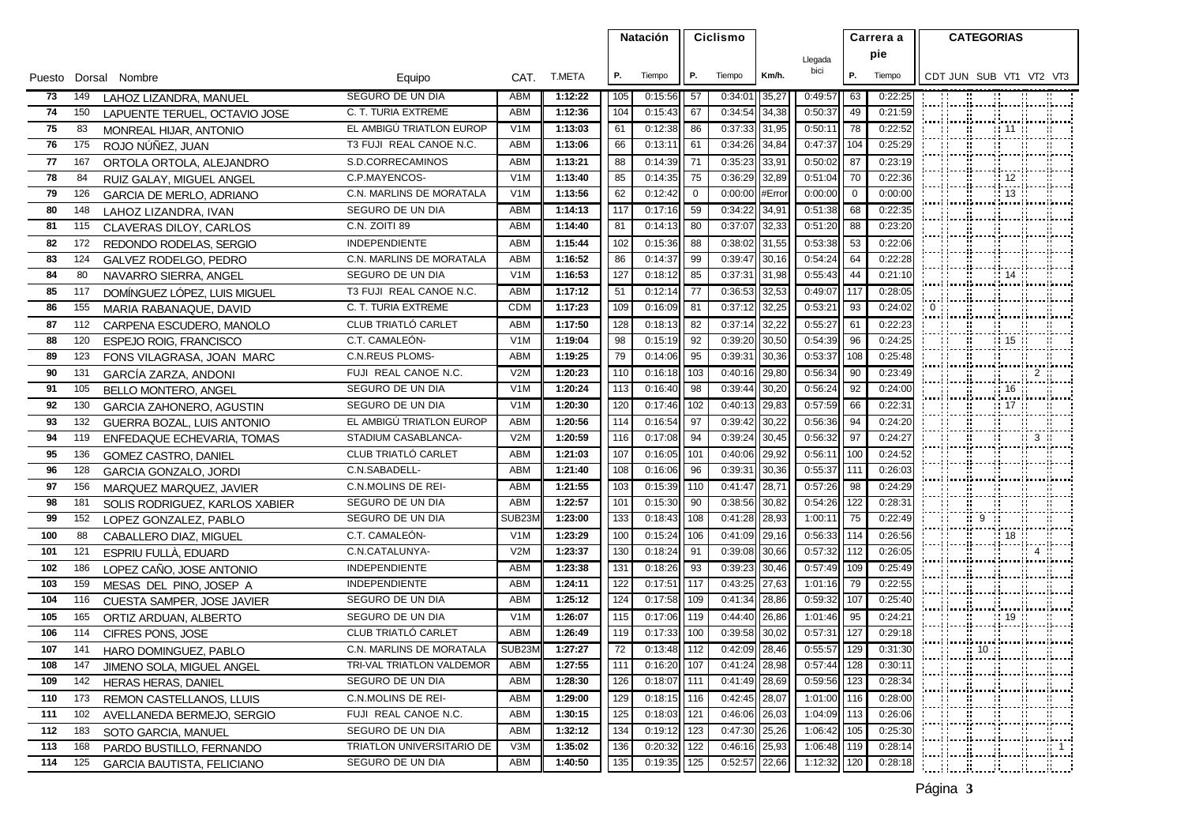|            |            |                                                         |                                         |                                |                    |            | <b>Natación</b>    |                |                    |                | Ciclismo           |              |                    |       |  |                                                                                                 | Carrera a  |  |  | <b>CATEGORIAS</b> |  |
|------------|------------|---------------------------------------------------------|-----------------------------------------|--------------------------------|--------------------|------------|--------------------|----------------|--------------------|----------------|--------------------|--------------|--------------------|-------|--|-------------------------------------------------------------------------------------------------|------------|--|--|-------------------|--|
|            |            |                                                         |                                         |                                |                    |            |                    |                |                    |                | Llegada            |              | pie                |       |  |                                                                                                 |            |  |  |                   |  |
|            |            | Puesto Dorsal Nombre                                    | Equipo                                  |                                | CAT. T.META        | Р.         | Tiempo             | Р.             | Tiempo             | Km/h.          | bici               | Р.           | Tiempo             |       |  | CDT JUN SUB VT1 VT2 VT3                                                                         |            |  |  |                   |  |
| 73         | 149        | LAHOZ LIZANDRA, MANUEL                                  | SEGURO DE UN DIA                        | ABM                            | 1:12:22            | 105        | 0:15:56            | 57             | 0:34:01            | 35,27          | 0:49:57            | 63           | 0:22:25            |       |  |                                                                                                 |            |  |  |                   |  |
| 74         | 150        | LAPUENTE TERUEL, OCTAVIO JOSE                           | C. T. TURIA EXTREME                     | ABM                            | 1:12:36            | 104        | 0:15:43            | 67             | 0:34:54            | 34,38          | 0:50:37            | 49           | 0:21:59            |       |  | <br> ---  ----  ----  ----  ----  ----                                                          |            |  |  |                   |  |
| 75         | 83         | MONREAL HIJAR, ANTONIO                                  | EL AMBIGÚ TRIATLON EUROP                | V <sub>1</sub> M               | 1:13:03            | 61         | 0:12:38            | 86             | 0:37:33            | 31,95          | 0:50:11            | 78           | 0:22:52            |       |  | ;; ;;;;;;;;;;;                                                                                  |            |  |  |                   |  |
| 76         | 175        | ROJO NÚÑEZ, JUAN                                        | T3 FUJI REAL CANOE N.C.                 | ABM                            | 1:13:06            | 66         | 0:13:1'            | 61             | 0:34:26            | 34,84          | 0:47:37            | 104          | 0:25:29            |       |  | <b>Film and an</b>                                                                              |            |  |  |                   |  |
| 77         | 167        | ORTOLA ORTOLA, ALEJANDRO                                | S.D.CORRECAMINOS                        | ABM                            | 1:13:21            | 88         | 0:14:39            | 71             | 0:35:23            | 33,91          | 0:50:02            | 87           | 0:23:19            |       |  | ;; ;;;; ;; ;;;;                                                                                 |            |  |  |                   |  |
| 78         | 84         | RUIZ GALAY, MIGUEL ANGEL                                | C.P.MAYENCOS-                           | V <sub>1</sub> M               | 1:13:40            | 85         | 0:14:35            | 75             | 0:36:29            | 32,89          | 0:51:04            | 70           | 0:22:36            |       |  |                                                                                                 |            |  |  |                   |  |
| 79         | 126        | <b>GARCIA DE MERLO, ADRIANO</b>                         | C.N. MARLINS DE MORATALA                | V <sub>1</sub> M               | 1:13:56            | 62         | 0:12:42            | $\overline{0}$ | 0:00:00            | #Error         | 0:00:00            | $\mathbf{0}$ | 0:00:00            |       |  | --  ---  ---  ---  ---  --- <br> --  ---  ----  ---  ---  --- <br> ---  ---  ---  ---  ---  --- |            |  |  |                   |  |
| 80         | 148        | LAHOZ LIZANDRA. IVAN                                    | SEGURO DE UN DIA                        | <b>ABM</b>                     | 1:14:13            | 117        | 0:17:16            | 59             | 0:34:22            | 34,91          | 0:51:38            | 68           | 0:22:35            |       |  | ;; ;;;;;;;;;;                                                                                   |            |  |  |                   |  |
| 81         | 115        | CLAVERAS DILOY, CARLOS                                  | C.N. ZOITI 89                           | ABM                            | 1:14:40            | 81         | 0:14:13            | -80            | 0:37:07            | 32,33          | 0:51:20            | 88           | 0:23:20            |       |  |                                                                                                 |            |  |  |                   |  |
| 82         | 172        | REDONDO RODELAS, SERGIO                                 | <b>INDEPENDIENTE</b>                    | <b>ABM</b>                     | 1:15:44            | 102        | 0:15:36            | 88             | 0:38:02            | 31,55          | 0:53:38            | 53           | 0:22:06            |       |  |                                                                                                 |            |  |  |                   |  |
| 83         | 124        | GALVEZ RODELGO, PEDRO                                   | C.N. MARLINS DE MORATALA                | <b>ABM</b>                     | 1:16:52            | 86         | 0:14:37            | 99             | 0:39:47            | 30,16          | 0:54:24            | 64           | 0:22:28            |       |  |                                                                                                 |            |  |  |                   |  |
| 84         | 80         | NAVARRO SIERRA, ANGEL                                   | SEGURO DE UN DIA                        | V <sub>1</sub> M               | 1:16:53            | 127        | 0:18:12            | 85             | 0:37:31            | 31,98          | 0:55:43            | 44           | 0:21:10            |       |  | $\therefore$ 14                                                                                 |            |  |  |                   |  |
| 85         | 117        | DOMÍNGUEZ LÓPEZ, LUIS MIGUEL                            | T3 FUJI REAL CANOE N.C.                 | ABM                            | 1:17:12            | 51         | 0:12:14            | 77             | 0:36:53            | 32,53          | 0:49:07            | 117          | 0:28:05            |       |  |                                                                                                 |            |  |  |                   |  |
| 86         | 155        | MARIA RABANAQUE, DAVID                                  | C. T. TURIA EXTREME                     | <b>CDM</b>                     | 1:17:23            | 109        | 0:16:09            | 81             | 0:37:12            | 32,25          | 0:53:21            | 93           | 0:24:02            | $0$ . |  | ;; ;;;;;;;;;                                                                                    |            |  |  |                   |  |
| 87         | 112        | CARPENA ESCUDERO, MANOLO                                | CLUB TRIATLÓ CARLET                     | ABM                            | 1:17:50            | 128        | 0:18:13            | 82             | 0:37:14            | 32,22          | 0:55:27            | 61           | 0:22:23            |       |  |                                                                                                 |            |  |  |                   |  |
| 88         | 120        | <b>ESPEJO ROIG, FRANCISCO</b>                           | C.T. CAMALEÓN-                          | V <sub>1</sub> M               | 1:19:04            | 98         | 0:15:19            | 92             | 0:39:20            | 30,50          | 0:54:39            | 96           | 0:24:25            |       |  |                                                                                                 |            |  |  |                   |  |
| 89         | 123        | FONS VILAGRASA, JOAN MARC                               | <b>C.N.REUS PLOMS-</b>                  | <b>ABM</b>                     | 1:19:25            | 79         | 0:14:06            | 95             | 0:39:31            | 30,36          | 0:53:37            | 108          | 0:25:48            |       |  |                                                                                                 |            |  |  |                   |  |
| 90         | 131        | GARCÍA ZARZA, ANDONI                                    | FUJI REAL CANOE N.C.                    | V2M                            | 1:20:23            | 110        | 0:16:18            | 103            | 0:40:16            | 29,80          | 0:56:34            | 90           | 0:23:49            |       |  |                                                                                                 |            |  |  |                   |  |
| 91         | 105        | BELLO MONTERO, ANGEL                                    | SEGURO DE UN DIA                        | V <sub>1</sub> M               | 1:20:24            | 113        | 0:16:40            | 98             | 0:39:44            | 30,20          | 0:56:24            | 92           | 0:24:00            |       |  |                                                                                                 |            |  |  |                   |  |
| 92         | 130        | GARCIA ZAHONERO, AGUSTIN                                | SEGURO DE UN DIA                        | V <sub>1</sub> M               | 1:20:30            | 120        | 0:17:46            | 102            | 0:40:13            | 29,83          | 0:57:59            | 66           | 0:22:31            |       |  | $\frac{11}{11}$ 17 $\frac{11}{17}$                                                              |            |  |  |                   |  |
| 93         | 132        | GUERRA BOZAL, LUIS ANTONIO                              | EL AMBIGÚ TRIATLON EUROP                | <b>ABM</b>                     | 1:20:56            | 114        | 0:16:54            | 97             | 0:39:42            | 30,22          | 0:56:36            | 94           | 0:24:20            |       |  | --  --  ---  ---  ---  --- <br> --  ---  ----  ---  --  --  --  --                              |            |  |  |                   |  |
| 94         | 119        | ENFEDAQUE ECHEVARIA, TOMAS                              | STADIUM CASABLANCA-                     | V2M                            | 1:20:59            | 116        | 0:17:08            | 94             | 0:39:24            | 30,45          | 0:56:32            | 97           | 0:24:27            |       |  |                                                                                                 |            |  |  |                   |  |
| 95         | 136        | GOMEZ CASTRO, DANIEL                                    | CLUB TRIATLÓ CARLET                     | <b>ABM</b>                     | 1:21:03            | 107        | 0:16:05            | 101            | 0:40:06            | 29,92          | 0:56:11            | 100          | 0:24:52            |       |  |                                                                                                 |            |  |  |                   |  |
| 96         | 128        | <b>GARCIA GONZALO, JORDI</b>                            | C.N.SABADELL-                           | <b>ABM</b>                     | 1:21:40            | 108        | 0:16:06            | 96             | 0:39:31            | 30,36          | 0:55:37            | 111          | 0:26:03            |       |  | ;; ;;;;;;;;;;                                                                                   |            |  |  |                   |  |
| 97         | 156        | MARQUEZ MARQUEZ, JAVIER                                 | <b>C.N.MOLINS DE REI-</b>               | <b>ABM</b>                     | 1:21:55            | 103        | 0:15:39            | 110            | 0:41:47            | 28,71          | 0:57:26            | 98           | 0:24:29            |       |  |                                                                                                 |            |  |  |                   |  |
| 98         | 181        | SOLIS RODRIGUEZ, KARLOS XABIER                          | SEGURO DE UN DIA                        | ABM                            | 1:22:57            | 101        | 0:15:30            | 90             | 0:38:56            | 30,82          | 0:54:26            | 122          | 0:28:31            |       |  |                                                                                                 |            |  |  |                   |  |
| 99         | 152        | LOPEZ GONZALEZ, PABLO                                   | SEGURO DE UN DIA                        | SUB23N                         | 1:23:00            | 133        | 0:18:43            | 108            | 0:41:28            | 28,93          | 1:00:11            | 75           | 0:22:49            |       |  | <b>MANUS</b>                                                                                    |            |  |  |                   |  |
| 100        | 88         | CABALLERO DIAZ, MIGUEL                                  | C.T. CAMALEON-                          | V1M                            | 1:23:29            | 100        | 0:15:24            | 106            | 0:41:09            | 29,16          | 0:56:33            | 114          | 0:26:56            |       |  |                                                                                                 |            |  |  |                   |  |
| 101        | 121        | ESPRIU FULLÀ, EDUARD                                    | C.N.CATALUNYA-                          | V2M                            | 1:23:37            | 130        | 0:18:24            | 91             | 0:39:08            | 30,66          | 0:57:32            | 112          | 0:26:05            |       |  | anni innelkonni annelkonnikons                                                                  |            |  |  |                   |  |
| 102        | 186        | LOPEZ CAÑO, JOSE ANTONIO                                | <b>INDEPENDIENTE</b>                    | <b>ABM</b>                     | 1:23:38            | 131        | 0:18:26            | 93             | 0:39:23            | 30,46          | 0:57:49            | 109          | 0:25:49            |       |  | inlink tink t                                                                                   |            |  |  |                   |  |
| 103        | 159        | MESAS DEL PINO, JOSEP A                                 | <b>INDEPENDIENTE</b>                    | <b>ABM</b>                     | 1:24:11            | 122        | 0:17:51<br>0:17:58 | 117            | 0:43:25            | 27,63          | 1:01:16            | 79<br>107    | 0:22:55            |       |  |                                                                                                 |            |  |  |                   |  |
| 104        | 116        | CUESTA SAMPER, JOSE JAVIER                              | SEGURO DE UN DIA                        | ABM                            | 1:25:12            | 124        |                    | 109            | 0:41:34            | 28,86          | 0:59:32            |              | 0:25:40            |       |  | (maal (maal)maand (maal) (maal)maal)                                                            |            |  |  |                   |  |
| 105<br>106 | 165<br>114 | ORTIZ ARDUAN, ALBERTO                                   | SEGURO DE UN DIA<br>CLUB TRIATLÓ CARLET | V <sub>1</sub> M<br><b>ABM</b> | 1:26:07<br>1:26:49 | 115<br>119 | 0:17:06<br>0:17:33 | 119<br>100     | 0:44:40<br>0:39:58 | 26,86<br>30,02 | 1:01:46<br>0:57:31 | 95<br>127    | 0:24:21<br>0:29:18 |       |  | $\frac{11}{21}$ $\frac{11}{21}$ $\frac{11}{21}$ $\frac{11}{21}$<br>rgrændi                      |            |  |  |                   |  |
| 107        | 141        | CIFRES PONS, JOSE                                       | C.N. MARLINS DE MORATALA                | SUB23M                         | 1:27:27            | 72         | 0:13:48            | 112            | 0:42:09            | 28,46          | 0:55:57            | 129          | 0:31:30            |       |  | ;; ;;;;;;;;;;<br>: :: :: 10 :: ::                                                               |            |  |  |                   |  |
| 108        | 147        | HARO DOMINGUEZ, PABLO                                   | TRI-VAL TRIATLON VALDEMOR               | ABM                            | 1:27:55            | 111        | $0:16:20$ 107      |                | $0:41:24$ 28,98    |                | $0:57:44$   128    |              | 0:30:11            |       |  |                                                                                                 |            |  |  |                   |  |
| 109 142    |            | JIMENO SOLA, MIGUEL ANGEL<br><b>HERAS HERAS, DANIEL</b> | SEGURO DE UN DIA                        | ABM                            | 1:28:30            | 126        | 0:18:07            | <b>1111</b>    | 0:41:49            | 28,69          | 0:59:56            | 123          | 0:28:34            |       |  |                                                                                                 |            |  |  |                   |  |
| 110 173    |            | REMON CASTELLANOS, LLUIS                                | <b>C.N.MOLINS DE REI-</b>               | ABM                            | 1:29:00            | 129        | 0:18:15            | 1116           | 0:42:45            | 28,07          | $1:01:00$ 116      |              | 0:28:00            |       |  | իտակ իտակիոտակիտասինատակիոտ                                                                     |            |  |  |                   |  |
| 111        | 102        | AVELLANEDA BERMEJO, SERGIO                              | FUJI REAL CANOE N.C.                    | ABM                            | 1:30:15            | 125        | 0:18:03            | 121            | 0:46:06            | 26,03          | 1:04:09            | 113          | 0:26:06            |       |  |                                                                                                 |            |  |  |                   |  |
| 112        | 183        | SOTO GARCIA, MANUEL                                     | SEGURO DE UN DIA                        | ABM                            | 1:32:12            | 134        | 0:19:12            | 123            | 0:47:30            | 25,26          | 1:06:42            | 105          | 0:25:30            |       |  | ;; ;;;; ;; ;;;;                                                                                 |            |  |  |                   |  |
| 113        | 168        | PARDO BUSTILLO, FERNANDO                                | TRIATLON UNIVERSITARIO DE               | V3M                            | 1:35:02            | 136        | $0:20:32$ 122      |                | 0:46:16            | 25,93          | 1:06:48 119        |              | 0:28:14            |       |  |                                                                                                 | <b>W</b> 1 |  |  |                   |  |
| 114 125    |            | <b>GARCIA BAUTISTA, FELICIANO</b>                       | SEGURO DE UN DIA                        | ABM                            | 1:40:50            | 135        | 0:19:35            | 125            | 0:52:57            | 22,66          | 1:12:32            | 120          | 0:28:18            |       |  | Municipality (                                                                                  |            |  |  |                   |  |
|            |            |                                                         |                                         |                                |                    |            |                    |                |                    |                |                    |              |                    |       |  |                                                                                                 |            |  |  |                   |  |